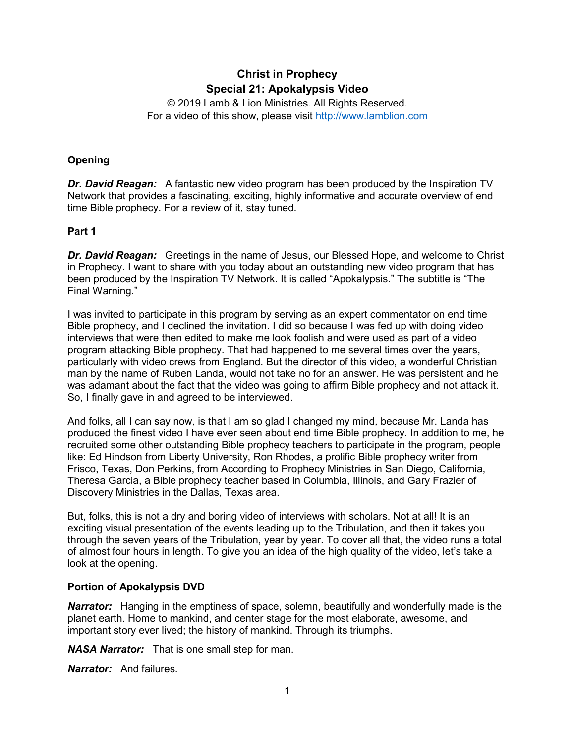# **Christ in Prophecy Special 21: Apokalypsis Video**

© 2019 Lamb & Lion Ministries. All Rights Reserved. For a video of this show, please visit [http://www.lamblion.com](http://www.lamblion.com/)

### **Opening**

**Dr. David Reagan:** A fantastic new video program has been produced by the Inspiration TV Network that provides a fascinating, exciting, highly informative and accurate overview of end time Bible prophecy. For a review of it, stay tuned.

#### **Part 1**

*Dr. David Reagan:* Greetings in the name of Jesus, our Blessed Hope, and welcome to Christ in Prophecy. I want to share with you today about an outstanding new video program that has been produced by the Inspiration TV Network. It is called "Apokalypsis." The subtitle is "The Final Warning."

I was invited to participate in this program by serving as an expert commentator on end time Bible prophecy, and I declined the invitation. I did so because I was fed up with doing video interviews that were then edited to make me look foolish and were used as part of a video program attacking Bible prophecy. That had happened to me several times over the years, particularly with video crews from England. But the director of this video, a wonderful Christian man by the name of Ruben Landa, would not take no for an answer. He was persistent and he was adamant about the fact that the video was going to affirm Bible prophecy and not attack it. So, I finally gave in and agreed to be interviewed.

And folks, all I can say now, is that I am so glad I changed my mind, because Mr. Landa has produced the finest video I have ever seen about end time Bible prophecy. In addition to me, he recruited some other outstanding Bible prophecy teachers to participate in the program, people like: Ed Hindson from Liberty University, Ron Rhodes, a prolific Bible prophecy writer from Frisco, Texas, Don Perkins, from According to Prophecy Ministries in San Diego, California, Theresa Garcia, a Bible prophecy teacher based in Columbia, Illinois, and Gary Frazier of Discovery Ministries in the Dallas, Texas area.

But, folks, this is not a dry and boring video of interviews with scholars. Not at all! It is an exciting visual presentation of the events leading up to the Tribulation, and then it takes you through the seven years of the Tribulation, year by year. To cover all that, the video runs a total of almost four hours in length. To give you an idea of the high quality of the video, let's take a look at the opening.

#### **Portion of Apokalypsis DVD**

**Narrator:** Hanging in the emptiness of space, solemn, beautifully and wonderfully made is the planet earth. Home to mankind, and center stage for the most elaborate, awesome, and important story ever lived; the history of mankind. Through its triumphs.

*NASA Narrator:* That is one small step for man.

*Narrator:* And failures.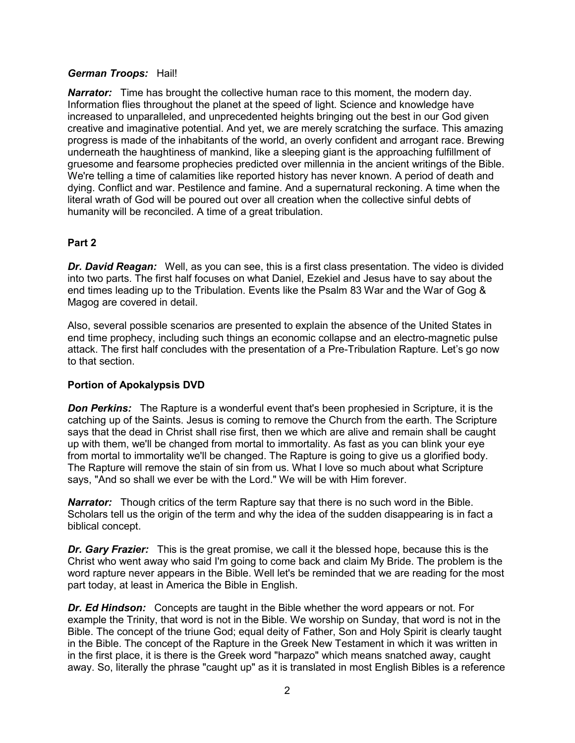#### *German Troops:* Hail!

**Narrator:** Time has brought the collective human race to this moment, the modern day. Information flies throughout the planet at the speed of light. Science and knowledge have increased to unparalleled, and unprecedented heights bringing out the best in our God given creative and imaginative potential. And yet, we are merely scratching the surface. This amazing progress is made of the inhabitants of the world, an overly confident and arrogant race. Brewing underneath the haughtiness of mankind, like a sleeping giant is the approaching fulfillment of gruesome and fearsome prophecies predicted over millennia in the ancient writings of the Bible. We're telling a time of calamities like reported history has never known. A period of death and dying. Conflict and war. Pestilence and famine. And a supernatural reckoning. A time when the literal wrath of God will be poured out over all creation when the collective sinful debts of humanity will be reconciled. A time of a great tribulation.

#### **Part 2**

*Dr. David Reagan:* Well, as you can see, this is a first class presentation. The video is divided into two parts. The first half focuses on what Daniel, Ezekiel and Jesus have to say about the end times leading up to the Tribulation. Events like the Psalm 83 War and the War of Gog & Magog are covered in detail.

Also, several possible scenarios are presented to explain the absence of the United States in end time prophecy, including such things an economic collapse and an electro-magnetic pulse attack. The first half concludes with the presentation of a Pre-Tribulation Rapture. Let's go now to that section.

#### **Portion of Apokalypsis DVD**

**Don Perkins:** The Rapture is a wonderful event that's been prophesied in Scripture, it is the catching up of the Saints. Jesus is coming to remove the Church from the earth. The Scripture says that the dead in Christ shall rise first, then we which are alive and remain shall be caught up with them, we'll be changed from mortal to immortality. As fast as you can blink your eye from mortal to immortality we'll be changed. The Rapture is going to give us a glorified body. The Rapture will remove the stain of sin from us. What I love so much about what Scripture says, "And so shall we ever be with the Lord." We will be with Him forever.

**Narrator:** Though critics of the term Rapture say that there is no such word in the Bible. Scholars tell us the origin of the term and why the idea of the sudden disappearing is in fact a biblical concept.

*Dr. Gary Frazier:* This is the great promise, we call it the blessed hope, because this is the Christ who went away who said I'm going to come back and claim My Bride. The problem is the word rapture never appears in the Bible. Well let's be reminded that we are reading for the most part today, at least in America the Bible in English.

*Dr. Ed Hindson:* Concepts are taught in the Bible whether the word appears or not. For example the Trinity, that word is not in the Bible. We worship on Sunday, that word is not in the Bible. The concept of the triune God; equal deity of Father, Son and Holy Spirit is clearly taught in the Bible. The concept of the Rapture in the Greek New Testament in which it was written in in the first place, it is there is the Greek word "harpazo" which means snatched away, caught away. So, literally the phrase "caught up" as it is translated in most English Bibles is a reference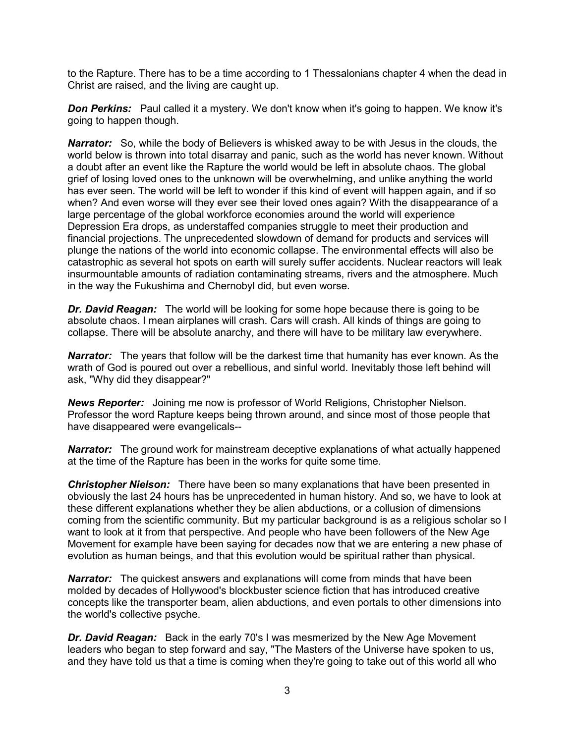to the Rapture. There has to be a time according to 1 Thessalonians chapter 4 when the dead in Christ are raised, and the living are caught up.

**Don Perkins:** Paul called it a mystery. We don't know when it's going to happen. We know it's going to happen though.

**Narrator:** So, while the body of Believers is whisked away to be with Jesus in the clouds, the world below is thrown into total disarray and panic, such as the world has never known. Without a doubt after an event like the Rapture the world would be left in absolute chaos. The global grief of losing loved ones to the unknown will be overwhelming, and unlike anything the world has ever seen. The world will be left to wonder if this kind of event will happen again, and if so when? And even worse will they ever see their loved ones again? With the disappearance of a large percentage of the global workforce economies around the world will experience Depression Era drops, as understaffed companies struggle to meet their production and financial projections. The unprecedented slowdown of demand for products and services will plunge the nations of the world into economic collapse. The environmental effects will also be catastrophic as several hot spots on earth will surely suffer accidents. Nuclear reactors will leak insurmountable amounts of radiation contaminating streams, rivers and the atmosphere. Much in the way the Fukushima and Chernobyl did, but even worse.

*Dr. David Reagan:* The world will be looking for some hope because there is going to be absolute chaos. I mean airplanes will crash. Cars will crash. All kinds of things are going to collapse. There will be absolute anarchy, and there will have to be military law everywhere.

*Narrator:* The years that follow will be the darkest time that humanity has ever known. As the wrath of God is poured out over a rebellious, and sinful world. Inevitably those left behind will ask, "Why did they disappear?"

*News Reporter:* Joining me now is professor of World Religions, Christopher Nielson. Professor the word Rapture keeps being thrown around, and since most of those people that have disappeared were evangelicals--

**Narrator:** The ground work for mainstream deceptive explanations of what actually happened at the time of the Rapture has been in the works for quite some time.

*Christopher Nielson:* There have been so many explanations that have been presented in obviously the last 24 hours has be unprecedented in human history. And so, we have to look at these different explanations whether they be alien abductions, or a collusion of dimensions coming from the scientific community. But my particular background is as a religious scholar so I want to look at it from that perspective. And people who have been followers of the New Age Movement for example have been saying for decades now that we are entering a new phase of evolution as human beings, and that this evolution would be spiritual rather than physical.

**Narrator:** The quickest answers and explanations will come from minds that have been molded by decades of Hollywood's blockbuster science fiction that has introduced creative concepts like the transporter beam, alien abductions, and even portals to other dimensions into the world's collective psyche.

*Dr. David Reagan:* Back in the early 70's I was mesmerized by the New Age Movement leaders who began to step forward and say, "The Masters of the Universe have spoken to us, and they have told us that a time is coming when they're going to take out of this world all who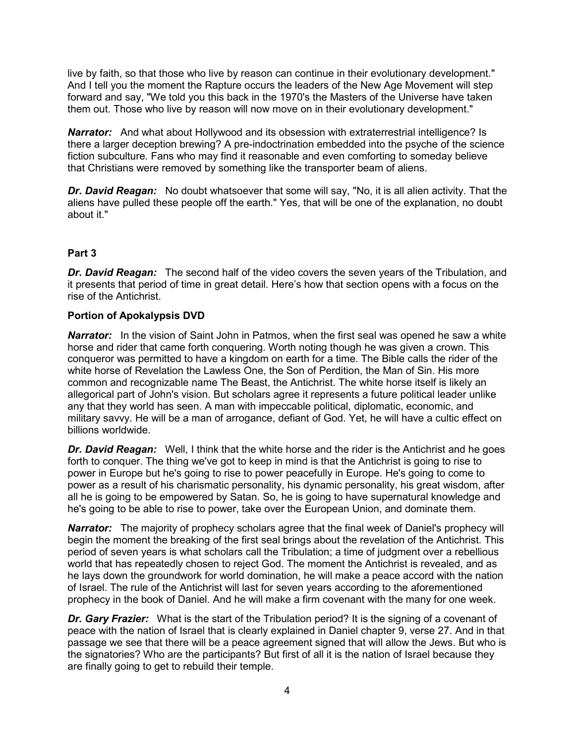live by faith, so that those who live by reason can continue in their evolutionary development." And I tell you the moment the Rapture occurs the leaders of the New Age Movement will step forward and say, "We told you this back in the 1970's the Masters of the Universe have taken them out. Those who live by reason will now move on in their evolutionary development."

**Narrator:** And what about Hollywood and its obsession with extraterrestrial intelligence? Is there a larger deception brewing? A pre-indoctrination embedded into the psyche of the science fiction subculture. Fans who may find it reasonable and even comforting to someday believe that Christians were removed by something like the transporter beam of aliens.

*Dr. David Reagan:* No doubt whatsoever that some will say, "No, it is all alien activity. That the aliens have pulled these people off the earth." Yes, that will be one of the explanation, no doubt about it."

# **Part 3**

*Dr. David Reagan:* The second half of the video covers the seven years of the Tribulation, and it presents that period of time in great detail. Here's how that section opens with a focus on the rise of the Antichrist.

#### **Portion of Apokalypsis DVD**

**Narrator:** In the vision of Saint John in Patmos, when the first seal was opened he saw a white horse and rider that came forth conquering. Worth noting though he was given a crown. This conqueror was permitted to have a kingdom on earth for a time. The Bible calls the rider of the white horse of Revelation the Lawless One, the Son of Perdition, the Man of Sin. His more common and recognizable name The Beast, the Antichrist. The white horse itself is likely an allegorical part of John's vision. But scholars agree it represents a future political leader unlike any that they world has seen. A man with impeccable political, diplomatic, economic, and military savvy. He will be a man of arrogance, defiant of God. Yet, he will have a cultic effect on billions worldwide.

*Dr. David Reagan:* Well, I think that the white horse and the rider is the Antichrist and he goes forth to conquer. The thing we've got to keep in mind is that the Antichrist is going to rise to power in Europe but he's going to rise to power peacefully in Europe. He's going to come to power as a result of his charismatic personality, his dynamic personality, his great wisdom, after all he is going to be empowered by Satan. So, he is going to have supernatural knowledge and he's going to be able to rise to power, take over the European Union, and dominate them.

**Narrator:** The majority of prophecy scholars agree that the final week of Daniel's prophecy will begin the moment the breaking of the first seal brings about the revelation of the Antichrist. This period of seven years is what scholars call the Tribulation; a time of judgment over a rebellious world that has repeatedly chosen to reject God. The moment the Antichrist is revealed, and as he lays down the groundwork for world domination, he will make a peace accord with the nation of Israel. The rule of the Antichrist will last for seven years according to the aforementioned prophecy in the book of Daniel. And he will make a firm covenant with the many for one week.

**Dr. Gary Frazier:** What is the start of the Tribulation period? It is the signing of a covenant of peace with the nation of Israel that is clearly explained in Daniel chapter 9, verse 27. And in that passage we see that there will be a peace agreement signed that will allow the Jews. But who is the signatories? Who are the participants? But first of all it is the nation of Israel because they are finally going to get to rebuild their temple.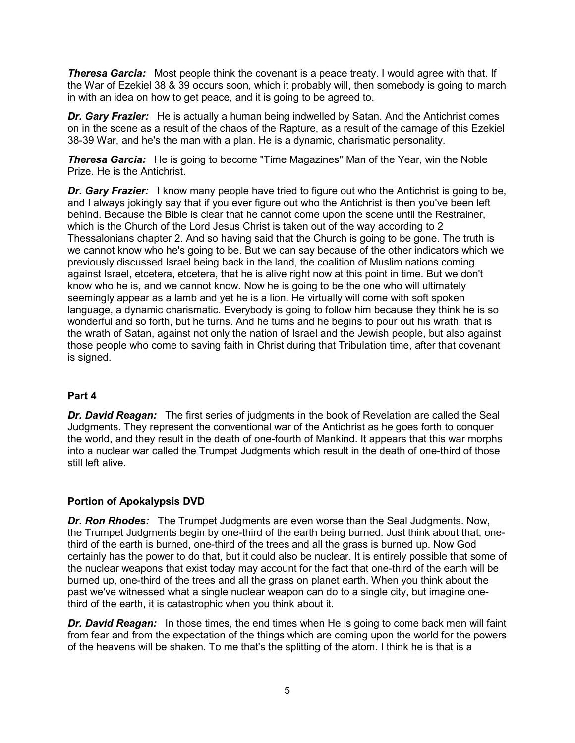*Theresa Garcia:* Most people think the covenant is a peace treaty. I would agree with that. If the War of Ezekiel 38 & 39 occurs soon, which it probably will, then somebody is going to march in with an idea on how to get peace, and it is going to be agreed to.

**Dr. Gary Frazier:** He is actually a human being indwelled by Satan. And the Antichrist comes on in the scene as a result of the chaos of the Rapture, as a result of the carnage of this Ezekiel 38-39 War, and he's the man with a plan. He is a dynamic, charismatic personality.

**Theresa Garcia:** He is going to become "Time Magazines" Man of the Year, win the Noble Prize. He is the Antichrist.

**Dr. Gary Frazier:** I know many people have tried to figure out who the Antichrist is going to be, and I always jokingly say that if you ever figure out who the Antichrist is then you've been left behind. Because the Bible is clear that he cannot come upon the scene until the Restrainer, which is the Church of the Lord Jesus Christ is taken out of the way according to 2 Thessalonians chapter 2. And so having said that the Church is going to be gone. The truth is we cannot know who he's going to be. But we can say because of the other indicators which we previously discussed Israel being back in the land, the coalition of Muslim nations coming against Israel, etcetera, etcetera, that he is alive right now at this point in time. But we don't know who he is, and we cannot know. Now he is going to be the one who will ultimately seemingly appear as a lamb and yet he is a lion. He virtually will come with soft spoken language, a dynamic charismatic. Everybody is going to follow him because they think he is so wonderful and so forth, but he turns. And he turns and he begins to pour out his wrath, that is the wrath of Satan, against not only the nation of Israel and the Jewish people, but also against those people who come to saving faith in Christ during that Tribulation time, after that covenant is signed.

#### **Part 4**

*Dr. David Reagan:* The first series of judgments in the book of Revelation are called the Seal Judgments. They represent the conventional war of the Antichrist as he goes forth to conquer the world, and they result in the death of one-fourth of Mankind. It appears that this war morphs into a nuclear war called the Trumpet Judgments which result in the death of one-third of those still left alive.

#### **Portion of Apokalypsis DVD**

*Dr. Ron Rhodes:* The Trumpet Judgments are even worse than the Seal Judgments. Now, the Trumpet Judgments begin by one-third of the earth being burned. Just think about that, onethird of the earth is burned, one-third of the trees and all the grass is burned up. Now God certainly has the power to do that, but it could also be nuclear. It is entirely possible that some of the nuclear weapons that exist today may account for the fact that one-third of the earth will be burned up, one-third of the trees and all the grass on planet earth. When you think about the past we've witnessed what a single nuclear weapon can do to a single city, but imagine onethird of the earth, it is catastrophic when you think about it.

*Dr. David Reagan:* In those times, the end times when He is going to come back men will faint from fear and from the expectation of the things which are coming upon the world for the powers of the heavens will be shaken. To me that's the splitting of the atom. I think he is that is a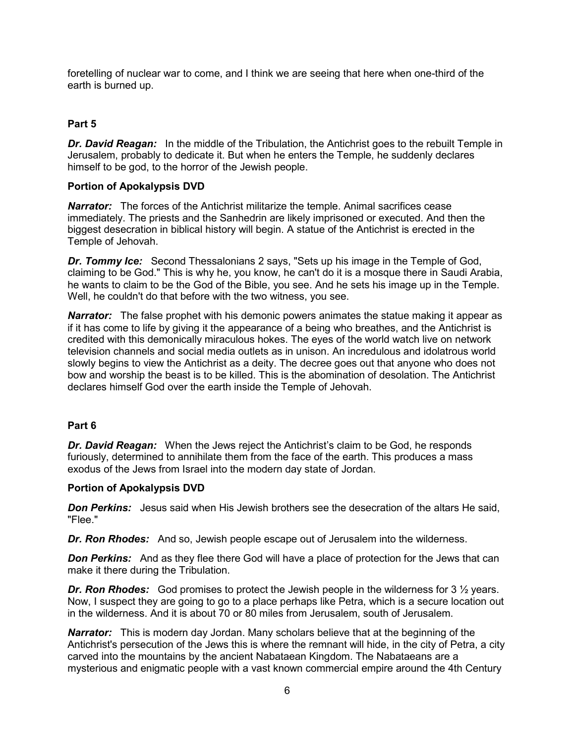foretelling of nuclear war to come, and I think we are seeing that here when one-third of the earth is burned up.

#### **Part 5**

**Dr. David Reagan:** In the middle of the Tribulation, the Antichrist goes to the rebuilt Temple in Jerusalem, probably to dedicate it. But when he enters the Temple, he suddenly declares himself to be god, to the horror of the Jewish people.

#### **Portion of Apokalypsis DVD**

**Narrator:** The forces of the Antichrist militarize the temple. Animal sacrifices cease immediately. The priests and the Sanhedrin are likely imprisoned or executed. And then the biggest desecration in biblical history will begin. A statue of the Antichrist is erected in the Temple of Jehovah.

**Dr. Tommy Ice:** Second Thessalonians 2 says, "Sets up his image in the Temple of God, claiming to be God." This is why he, you know, he can't do it is a mosque there in Saudi Arabia, he wants to claim to be the God of the Bible, you see. And he sets his image up in the Temple. Well, he couldn't do that before with the two witness, you see.

**Narrator:** The false prophet with his demonic powers animates the statue making it appear as if it has come to life by giving it the appearance of a being who breathes, and the Antichrist is credited with this demonically miraculous hokes. The eyes of the world watch live on network television channels and social media outlets as in unison. An incredulous and idolatrous world slowly begins to view the Antichrist as a deity. The decree goes out that anyone who does not bow and worship the beast is to be killed. This is the abomination of desolation. The Antichrist declares himself God over the earth inside the Temple of Jehovah.

#### **Part 6**

*Dr. David Reagan:* When the Jews reject the Antichrist's claim to be God, he responds furiously, determined to annihilate them from the face of the earth. This produces a mass exodus of the Jews from Israel into the modern day state of Jordan.

#### **Portion of Apokalypsis DVD**

*Don Perkins:* Jesus said when His Jewish brothers see the desecration of the altars He said, "Flee."

*Dr. Ron Rhodes:* And so, Jewish people escape out of Jerusalem into the wilderness.

**Don Perkins:** And as they flee there God will have a place of protection for the Jews that can make it there during the Tribulation.

**Dr. Ron Rhodes:** God promises to protect the Jewish people in the wilderness for 3  $\frac{1}{2}$  years. Now, I suspect they are going to go to a place perhaps like Petra, which is a secure location out in the wilderness. And it is about 70 or 80 miles from Jerusalem, south of Jerusalem.

**Narrator:** This is modern day Jordan. Many scholars believe that at the beginning of the Antichrist's persecution of the Jews this is where the remnant will hide, in the city of Petra, a city carved into the mountains by the ancient Nabataean Kingdom. The Nabataeans are a mysterious and enigmatic people with a vast known commercial empire around the 4th Century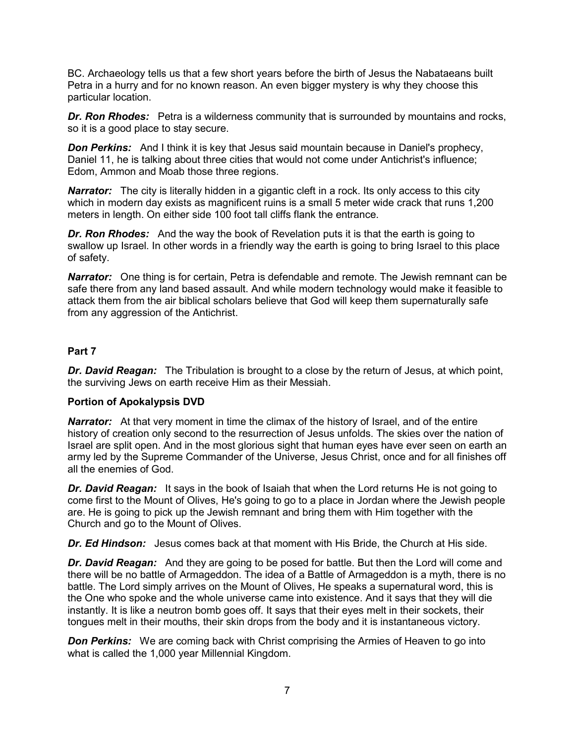BC. Archaeology tells us that a few short years before the birth of Jesus the Nabataeans built Petra in a hurry and for no known reason. An even bigger mystery is why they choose this particular location.

**Dr. Ron Rhodes:** Petra is a wilderness community that is surrounded by mountains and rocks, so it is a good place to stay secure.

**Don Perkins:** And I think it is key that Jesus said mountain because in Daniel's prophecy, Daniel 11, he is talking about three cities that would not come under Antichrist's influence; Edom, Ammon and Moab those three regions.

**Narrator:** The city is literally hidden in a gigantic cleft in a rock. Its only access to this city which in modern day exists as magnificent ruins is a small 5 meter wide crack that runs 1,200 meters in length. On either side 100 foot tall cliffs flank the entrance.

*Dr. Ron Rhodes:* And the way the book of Revelation puts it is that the earth is going to swallow up Israel. In other words in a friendly way the earth is going to bring Israel to this place of safety.

**Narrator:** One thing is for certain, Petra is defendable and remote. The Jewish remnant can be safe there from any land based assault. And while modern technology would make it feasible to attack them from the air biblical scholars believe that God will keep them supernaturally safe from any aggression of the Antichrist.

# **Part 7**

*Dr. David Reagan:* The Tribulation is brought to a close by the return of Jesus, at which point, the surviving Jews on earth receive Him as their Messiah.

#### **Portion of Apokalypsis DVD**

**Narrator:** At that very moment in time the climax of the history of Israel, and of the entire history of creation only second to the resurrection of Jesus unfolds. The skies over the nation of Israel are split open. And in the most glorious sight that human eyes have ever seen on earth an army led by the Supreme Commander of the Universe, Jesus Christ, once and for all finishes off all the enemies of God.

*Dr. David Reagan:* It says in the book of Isaiah that when the Lord returns He is not going to come first to the Mount of Olives, He's going to go to a place in Jordan where the Jewish people are. He is going to pick up the Jewish remnant and bring them with Him together with the Church and go to the Mount of Olives.

*Dr. Ed Hindson:* Jesus comes back at that moment with His Bride, the Church at His side.

*Dr. David Reagan:* And they are going to be posed for battle. But then the Lord will come and there will be no battle of Armageddon. The idea of a Battle of Armageddon is a myth, there is no battle. The Lord simply arrives on the Mount of Olives, He speaks a supernatural word, this is the One who spoke and the whole universe came into existence. And it says that they will die instantly. It is like a neutron bomb goes off. It says that their eyes melt in their sockets, their tongues melt in their mouths, their skin drops from the body and it is instantaneous victory.

**Don Perkins:** We are coming back with Christ comprising the Armies of Heaven to go into what is called the 1,000 year Millennial Kingdom.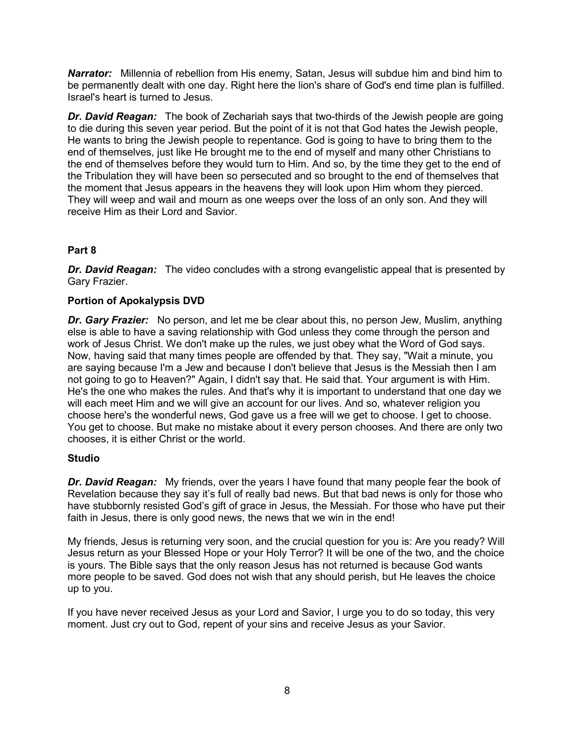*Narrator:* Millennia of rebellion from His enemy, Satan, Jesus will subdue him and bind him to be permanently dealt with one day. Right here the lion's share of God's end time plan is fulfilled. Israel's heart is turned to Jesus.

*Dr. David Reagan:* The book of Zechariah says that two-thirds of the Jewish people are going to die during this seven year period. But the point of it is not that God hates the Jewish people, He wants to bring the Jewish people to repentance. God is going to have to bring them to the end of themselves, just like He brought me to the end of myself and many other Christians to the end of themselves before they would turn to Him. And so, by the time they get to the end of the Tribulation they will have been so persecuted and so brought to the end of themselves that the moment that Jesus appears in the heavens they will look upon Him whom they pierced. They will weep and wail and mourn as one weeps over the loss of an only son. And they will receive Him as their Lord and Savior.

# **Part 8**

*Dr. David Reagan:* The video concludes with a strong evangelistic appeal that is presented by Gary Frazier.

# **Portion of Apokalypsis DVD**

**Dr. Gary Frazier:** No person, and let me be clear about this, no person Jew, Muslim, anything else is able to have a saving relationship with God unless they come through the person and work of Jesus Christ. We don't make up the rules, we just obey what the Word of God says. Now, having said that many times people are offended by that. They say, "Wait a minute, you are saying because I'm a Jew and because I don't believe that Jesus is the Messiah then I am not going to go to Heaven?" Again, I didn't say that. He said that. Your argument is with Him. He's the one who makes the rules. And that's why it is important to understand that one day we will each meet Him and we will give an account for our lives. And so, whatever religion you choose here's the wonderful news, God gave us a free will we get to choose. I get to choose. You get to choose. But make no mistake about it every person chooses. And there are only two chooses, it is either Christ or the world.

#### **Studio**

*Dr. David Reagan:* My friends, over the years I have found that many people fear the book of Revelation because they say it's full of really bad news. But that bad news is only for those who have stubbornly resisted God's gift of grace in Jesus, the Messiah. For those who have put their faith in Jesus, there is only good news, the news that we win in the end!

My friends, Jesus is returning very soon, and the crucial question for you is: Are you ready? Will Jesus return as your Blessed Hope or your Holy Terror? It will be one of the two, and the choice is yours. The Bible says that the only reason Jesus has not returned is because God wants more people to be saved. God does not wish that any should perish, but He leaves the choice up to you.

If you have never received Jesus as your Lord and Savior, I urge you to do so today, this very moment. Just cry out to God, repent of your sins and receive Jesus as your Savior.